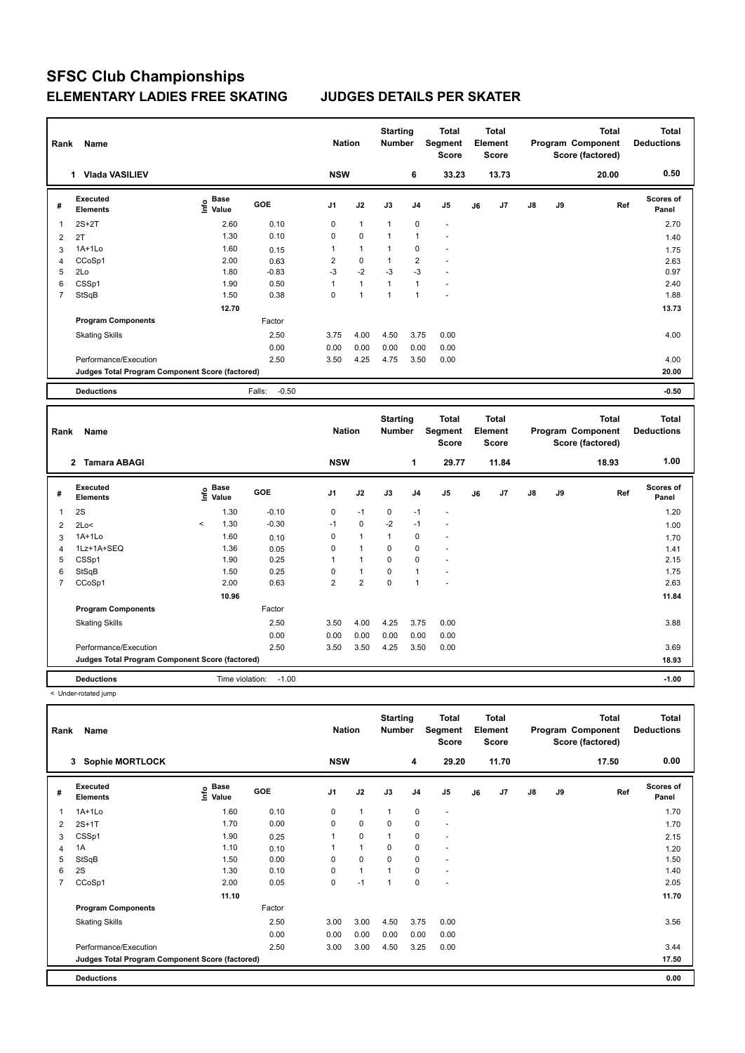| Rank | Name                                            | <b>Nation</b>                    |                   | <b>Starting</b><br><b>Number</b> |                | <b>Total</b><br>Segment<br><b>Score</b> | <b>Total</b><br>Element<br><b>Score</b> |                          |    |       | Total<br>Program Component<br>Score (factored) | <b>Total</b><br><b>Deductions</b> |       |                    |
|------|-------------------------------------------------|----------------------------------|-------------------|----------------------------------|----------------|-----------------------------------------|-----------------------------------------|--------------------------|----|-------|------------------------------------------------|-----------------------------------|-------|--------------------|
|      | <b>Vlada VASILIEV</b>                           |                                  |                   | <b>NSW</b>                       |                |                                         | 6                                       | 33.23                    |    | 13.73 |                                                |                                   | 20.00 | 0.50               |
| #    | <b>Executed</b><br><b>Elements</b>              | <b>Base</b><br>e Base<br>⊆ Value | <b>GOE</b>        | J <sub>1</sub>                   | J2             | J3                                      | J <sub>4</sub>                          | J5                       | J6 | J7    | $\mathsf{J}8$                                  | J9                                | Ref   | Scores of<br>Panel |
| 1    | $2S+2T$                                         | 2.60                             | 0.10              | 0                                | $\mathbf{1}$   | 1                                       | 0                                       | $\overline{\phantom{a}}$ |    |       |                                                |                                   |       | 2.70               |
| 2    | 2T                                              | 1.30                             | 0.10              | $\mathbf 0$                      | $\mathbf 0$    | $\overline{1}$                          | $\overline{1}$                          | $\overline{a}$           |    |       |                                                |                                   |       | 1.40               |
| 3    | 1A+1Lo                                          | 1.60                             | 0.15              | 1                                | 1              | 1                                       | 0                                       | ٠                        |    |       |                                                |                                   |       | 1.75               |
| 4    | CCoSp1                                          | 2.00                             | 0.63              | $\overline{2}$                   | $\mathbf 0$    | $\overline{1}$                          | $\overline{2}$                          | $\overline{a}$           |    |       |                                                |                                   |       | 2.63               |
| 5    | 2Lo                                             | 1.80                             | $-0.83$           | $-3$                             | $-2$           | $-3$                                    | $-3$                                    | $\ddot{\phantom{1}}$     |    |       |                                                |                                   |       | 0.97               |
| 6    | CSSp1                                           | 1.90                             | 0.50              | 1                                | $\overline{1}$ | $\overline{1}$                          | $\overline{1}$                          | ٠                        |    |       |                                                |                                   |       | 2.40               |
| 7    | StSqB                                           | 1.50                             | 0.38              | 0                                | 1              | 4                                       | -1                                      | $\overline{\phantom{a}}$ |    |       |                                                |                                   |       | 1.88               |
|      |                                                 | 12.70                            |                   |                                  |                |                                         |                                         |                          |    |       |                                                |                                   |       | 13.73              |
|      | <b>Program Components</b>                       |                                  | Factor            |                                  |                |                                         |                                         |                          |    |       |                                                |                                   |       |                    |
|      | <b>Skating Skills</b>                           |                                  | 2.50              | 3.75                             | 4.00           | 4.50                                    | 3.75                                    | 0.00                     |    |       |                                                |                                   |       | 4.00               |
|      |                                                 |                                  | 0.00              | 0.00                             | 0.00           | 0.00                                    | 0.00                                    | 0.00                     |    |       |                                                |                                   |       |                    |
|      | Performance/Execution                           |                                  | 2.50              | 3.50                             | 4.25           | 4.75                                    | 3.50                                    | 0.00                     |    |       |                                                |                                   |       | 4.00               |
|      | Judges Total Program Component Score (factored) |                                  |                   |                                  |                |                                         |                                         |                          |    |       |                                                |                                   |       | 20.00              |
|      | <b>Deductions</b>                               |                                  | $-0.50$<br>Falls: |                                  |                |                                         |                                         |                          |    |       |                                                |                                   |       | $-0.50$            |

|                | Name<br>Rank                                    |                    |                 |         |                |                         | <b>Starting</b><br><b>Number</b> |                | <b>Total</b><br>Segment<br><b>Score</b> | <b>Total</b><br>Element<br><b>Score</b> |                |       |    | <b>Total</b><br>Program Component<br>Score (factored) | <b>Total</b><br><b>Deductions</b> |
|----------------|-------------------------------------------------|--------------------|-----------------|---------|----------------|-------------------------|----------------------------------|----------------|-----------------------------------------|-----------------------------------------|----------------|-------|----|-------------------------------------------------------|-----------------------------------|
|                | $\mathbf{2}$<br><b>Tamara ABAGI</b>             |                    |                 |         | <b>NSW</b>     |                         |                                  | 1              | 29.77                                   |                                         | 11.84          |       |    | 18.93                                                 | 1.00                              |
| #              | Executed<br><b>Elements</b>                     | $\frac{6}{5}$ Base |                 | GOE     | J <sub>1</sub> | J2                      | J3                               | J <sub>4</sub> | J <sub>5</sub>                          | J6                                      | J <sub>7</sub> | J8    | J9 | Ref                                                   | <b>Scores of</b><br>Panel         |
| 1              | 2S                                              |                    | 1.30            | $-0.10$ | 0              | $-1$                    | 0                                | $-1$           | $\overline{\phantom{a}}$                |                                         |                |       |    |                                                       | 1.20                              |
| $\overline{2}$ | 2Lo<                                            | $\prec$            | 1.30            | $-0.30$ | $-1$           | $\mathbf 0$             | $-2$                             | $-1$           | $\overline{a}$                          |                                         |                |       |    |                                                       | 1.00                              |
| 3              | $1A+1L0$                                        |                    | 1.60            | 0.10    | 0              | $\blacktriangleleft$    | 1                                | 0              | $\overline{\phantom{a}}$                |                                         |                |       |    |                                                       | 1.70                              |
| 4              | 1Lz+1A+SEQ                                      |                    | 1.36            | 0.05    | 0              | $\overline{\mathbf{A}}$ | $\Omega$                         | $\mathbf 0$    | $\overline{\phantom{a}}$                |                                         |                |       |    |                                                       | 1.41                              |
| 5              | CSSp1                                           |                    | 1.90            | 0.25    | 1              | 1                       | 0                                | 0              | ٠                                       |                                         |                |       |    |                                                       | 2.15                              |
| 6              | StSqB                                           |                    | 1.50            | 0.25    | 0              | $\mathbf{1}$            | 0                                | $\overline{1}$ |                                         |                                         |                |       |    |                                                       | 1.75                              |
| 7              | CCoSp1                                          |                    | 2.00            | 0.63    | $\overline{2}$ | $\overline{2}$          | 0                                | $\overline{1}$ |                                         |                                         |                |       |    |                                                       | 2.63                              |
|                |                                                 |                    | 10.96           |         |                |                         |                                  |                |                                         |                                         |                |       |    |                                                       | 11.84                             |
|                | <b>Program Components</b>                       |                    |                 | Factor  |                |                         |                                  |                |                                         |                                         |                |       |    |                                                       |                                   |
|                | <b>Skating Skills</b>                           |                    |                 | 2.50    | 3.50           | 4.00                    | 4.25                             | 3.75           | 0.00                                    |                                         |                |       |    |                                                       | 3.88                              |
|                |                                                 |                    |                 | 0.00    | 0.00           | 0.00                    | 0.00                             | 0.00           | 0.00                                    |                                         |                |       |    |                                                       |                                   |
|                | Performance/Execution                           |                    |                 | 2.50    | 3.50           | 3.50                    | 4.25                             | 3.50           | 0.00                                    |                                         |                |       |    |                                                       | 3.69                              |
|                | Judges Total Program Component Score (factored) |                    |                 |         |                |                         |                                  |                |                                         |                                         |                | 18.93 |    |                                                       |                                   |
|                | <b>Deductions</b>                               |                    | Time violation: | $-1.00$ |                |                         |                                  |                |                                         |                                         |                |       |    |                                                       | $-1.00$                           |

< Under-rotated jump

|   | Name<br>Rank                                    |                                      |            |                |              | <b>Starting</b><br><b>Number</b> |           | Total<br>Segment<br><b>Score</b> | Total<br>Element<br><b>Score</b> |                |    |    | <b>Total</b><br>Program Component<br>Score (factored) | Total<br><b>Deductions</b> |
|---|-------------------------------------------------|--------------------------------------|------------|----------------|--------------|----------------------------------|-----------|----------------------------------|----------------------------------|----------------|----|----|-------------------------------------------------------|----------------------------|
|   | <b>Sophie MORTLOCK</b><br>3                     |                                      |            | <b>NSW</b>     |              |                                  | 4         | 29.20                            |                                  | 11.70          |    |    | 17.50                                                 | 0.00                       |
| # | Executed<br><b>Elements</b>                     | Base<br>e <sup>Base</sup><br>⊆ Value | <b>GOE</b> | J <sub>1</sub> | J2           | J3                               | J4        | J5                               | J6                               | J <sub>7</sub> | J8 | J9 | Ref                                                   | <b>Scores of</b><br>Panel  |
| 1 | $1A+1L0$                                        | 1.60                                 | 0.10       | 0              | $\mathbf{1}$ | $\mathbf{1}$                     | 0         | ٠                                |                                  |                |    |    |                                                       | 1.70                       |
| 2 | $2S+1T$                                         | 1.70                                 | 0.00       | 0              | $\mathbf 0$  | 0                                | $\pmb{0}$ | $\overline{\phantom{a}}$         |                                  |                |    |    |                                                       | 1.70                       |
| 3 | CSSp1                                           | 1.90                                 | 0.25       |                | $\mathbf 0$  | $\mathbf{1}$                     | 0         | $\blacksquare$                   |                                  |                |    |    |                                                       | 2.15                       |
| 4 | 1A                                              | 1.10                                 | 0.10       |                | $\mathbf{1}$ | 0                                | 0         | $\overline{\phantom{a}}$         |                                  |                |    |    |                                                       | 1.20                       |
| 5 | StSqB                                           | 1.50                                 | 0.00       | 0              | 0            | 0                                | 0         | $\overline{\phantom{a}}$         |                                  |                |    |    |                                                       | 1.50                       |
| 6 | 2S                                              | 1.30                                 | 0.10       | 0              | $\mathbf{1}$ | 1                                | 0         | ٠                                |                                  |                |    |    |                                                       | 1.40                       |
| 7 | CCoSp1                                          | 2.00                                 | 0.05       | 0              | $-1$         | $\mathbf{1}$                     | 0         | $\overline{\phantom{a}}$         |                                  |                |    |    |                                                       | 2.05                       |
|   |                                                 | 11.10                                |            |                |              |                                  |           |                                  |                                  |                |    |    |                                                       | 11.70                      |
|   | <b>Program Components</b>                       |                                      | Factor     |                |              |                                  |           |                                  |                                  |                |    |    |                                                       |                            |
|   | <b>Skating Skills</b>                           |                                      | 2.50       | 3.00           | 3.00         | 4.50                             | 3.75      | 0.00                             |                                  |                |    |    |                                                       | 3.56                       |
|   |                                                 |                                      | 0.00       | 0.00           | 0.00         | 0.00                             | 0.00      | 0.00                             |                                  |                |    |    |                                                       |                            |
|   | Performance/Execution                           |                                      | 2.50       | 3.00           | 3.00         | 4.50                             | 3.25      | 0.00                             |                                  |                |    |    |                                                       | 3.44                       |
|   | Judges Total Program Component Score (factored) |                                      |            |                |              |                                  |           |                                  |                                  |                |    |    |                                                       | 17.50                      |
|   | <b>Deductions</b>                               |                                      |            |                |              |                                  |           |                                  |                                  |                |    |    |                                                       | 0.00                       |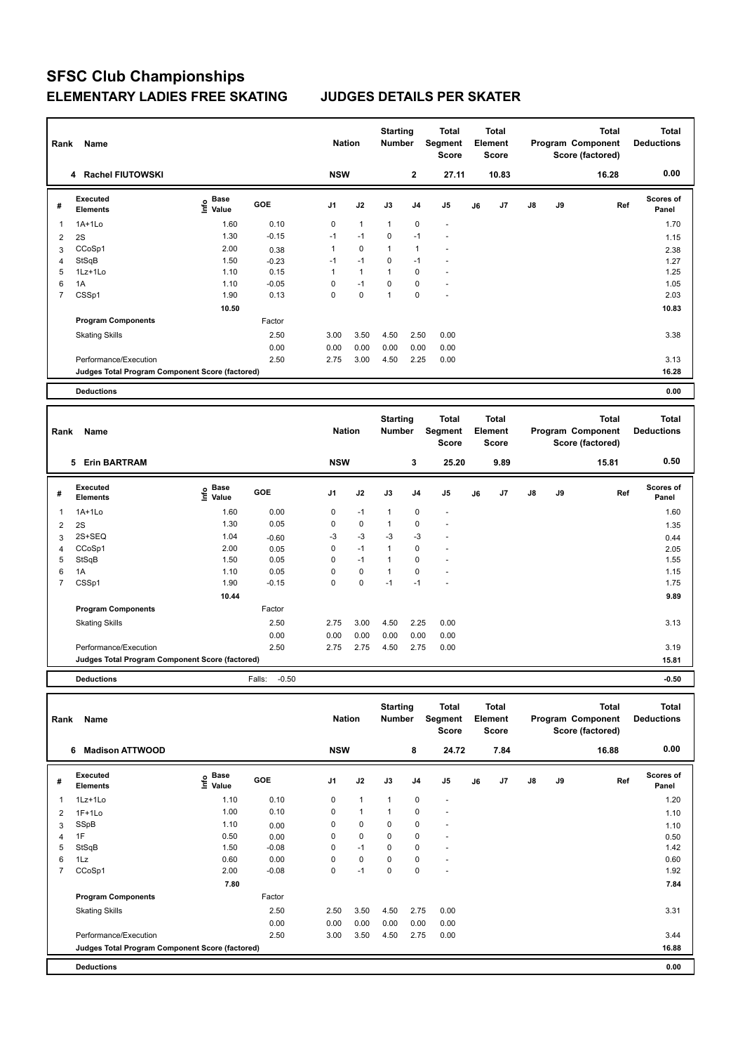| Rank | Name                                            |                                  | <b>Nation</b> |            | <b>Starting</b><br><b>Number</b> | <b>Total</b><br>Segment<br><b>Score</b> | <b>Total</b><br>Element<br><b>Score</b> |                          |    |       | <b>Total</b><br>Program Component<br>Score (factored) | <b>Total</b><br><b>Deductions</b> |       |                           |
|------|-------------------------------------------------|----------------------------------|---------------|------------|----------------------------------|-----------------------------------------|-----------------------------------------|--------------------------|----|-------|-------------------------------------------------------|-----------------------------------|-------|---------------------------|
|      | <b>Rachel FIUTOWSKI</b><br>4                    |                                  |               | <b>NSW</b> |                                  |                                         | $\mathbf{2}$                            | 27.11                    |    | 10.83 |                                                       |                                   | 16.28 | 0.00                      |
| #    | <b>Executed</b><br><b>Elements</b>              | <b>Base</b><br>e Base<br>⊆ Value | <b>GOE</b>    | J1         | J2                               | J3                                      | J <sub>4</sub>                          | J <sub>5</sub>           | J6 | J7    | $\mathsf{J}8$                                         | J9                                | Ref   | <b>Scores of</b><br>Panel |
| 1    | $1A+1Lo$                                        | 1.60                             | 0.10          | 0          | $\mathbf{1}$                     | 1                                       | $\mathbf 0$                             | $\blacksquare$           |    |       |                                                       |                                   |       | 1.70                      |
| 2    | 2S                                              | 1.30                             | $-0.15$       | $-1$       | $-1$                             | 0                                       | $-1$                                    | $\blacksquare$           |    |       |                                                       |                                   |       | 1.15                      |
| 3    | CCoSp1                                          | 2.00                             | 0.38          | 1          | $\mathbf 0$                      | 1                                       | $\overline{1}$                          | $\overline{\phantom{a}}$ |    |       |                                                       |                                   |       | 2.38                      |
| 4    | StSqB                                           | 1.50                             | $-0.23$       | $-1$       | $-1$                             | 0                                       | $-1$                                    | $\overline{\phantom{a}}$ |    |       |                                                       |                                   |       | 1.27                      |
| 5    | $1Lz+1Lo$                                       | 1.10                             | 0.15          | 1          | 1                                | 1                                       | $\mathbf 0$                             | $\blacksquare$           |    |       |                                                       |                                   |       | 1.25                      |
| 6    | 1A                                              | 1.10                             | $-0.05$       | 0          | $-1$                             | $\Omega$                                | 0                                       | $\overline{a}$           |    |       |                                                       |                                   |       | 1.05                      |
| 7    | CSSp1                                           | 1.90                             | 0.13          | 0          | 0                                | 1                                       | $\mathbf 0$                             | ٠                        |    |       |                                                       |                                   |       | 2.03                      |
|      |                                                 | 10.50                            |               |            |                                  |                                         |                                         |                          |    |       |                                                       |                                   |       | 10.83                     |
|      | <b>Program Components</b>                       |                                  | Factor        |            |                                  |                                         |                                         |                          |    |       |                                                       |                                   |       |                           |
|      | <b>Skating Skills</b>                           |                                  | 2.50          | 3.00       | 3.50                             | 4.50                                    | 2.50                                    | 0.00                     |    |       |                                                       |                                   |       | 3.38                      |
|      |                                                 |                                  | 0.00          | 0.00       | 0.00                             | 0.00                                    | 0.00                                    | 0.00                     |    |       |                                                       |                                   |       |                           |
|      | Performance/Execution                           |                                  | 2.50          | 2.75       | 3.00                             | 4.50                                    | 2.25                                    | 0.00                     |    |       |                                                       |                                   |       | 3.13                      |
|      | Judges Total Program Component Score (factored) |                                  |               |            |                                  |                                         |                                         |                          |    |       |                                                       |                                   |       | 16.28                     |
|      | <b>Deductions</b>                               |                                  |               |            |                                  |                                         |                                         |                          |    |       |                                                       |                                   |       | 0.00                      |

|   | Name<br>Rank                                    |                                     |                   |                |             | <b>Starting</b><br><b>Number</b> |                | <b>Total</b><br>Segment<br><b>Score</b> | <b>Total</b><br>Element<br>Score |                |    |    | <b>Total</b><br>Program Component<br>Score (factored) | <b>Total</b><br><b>Deductions</b> |
|---|-------------------------------------------------|-------------------------------------|-------------------|----------------|-------------|----------------------------------|----------------|-----------------------------------------|----------------------------------|----------------|----|----|-------------------------------------------------------|-----------------------------------|
|   | <b>Erin BARTRAM</b><br>5                        |                                     |                   | <b>NSW</b>     |             |                                  | 3              | 25.20                                   |                                  | 9.89           |    |    | 15.81                                                 | 0.50                              |
| # | Executed<br><b>Elements</b>                     | $\epsilon$ Base<br>$\epsilon$ Value | <b>GOE</b>        | J <sub>1</sub> | J2          | J3                               | J <sub>4</sub> | J <sub>5</sub>                          | J6                               | J <sub>7</sub> | J8 | J9 | Ref                                                   | <b>Scores of</b><br>Panel         |
| 1 | $1A+1L0$                                        | 1.60                                | 0.00              | 0              | $-1$        | $\mathbf{1}$                     | $\mathbf 0$    | ٠                                       |                                  |                |    |    |                                                       | 1.60                              |
| 2 | 2S                                              | 1.30                                | 0.05              | 0              | $\mathbf 0$ | $\mathbf{1}$                     | $\mathbf 0$    | ٠                                       |                                  |                |    |    |                                                       | 1.35                              |
| 3 | 2S+SEQ                                          | 1.04                                | $-0.60$           | $-3$           | $-3$        | $-3$                             | $-3$           | ٠                                       |                                  |                |    |    |                                                       | 0.44                              |
| 4 | CCoSp1                                          | 2.00                                | 0.05              | 0              | $-1$        | 1                                | 0              | ٠                                       |                                  |                |    |    |                                                       | 2.05                              |
| 5 | StSqB                                           | 1.50                                | 0.05              | 0              | $-1$        | 1                                | 0              | $\overline{\phantom{a}}$                |                                  |                |    |    |                                                       | 1.55                              |
| 6 | 1A                                              | 1.10                                | 0.05              | 0              | $\mathbf 0$ | $\overline{1}$                   | 0              | ٠                                       |                                  |                |    |    |                                                       | 1.15                              |
| 7 | CSSp1                                           | 1.90                                | $-0.15$           | 0              | $\pmb{0}$   | $-1$                             | $-1$           | ٠                                       |                                  |                |    |    |                                                       | 1.75                              |
|   |                                                 | 10.44                               |                   |                |             |                                  |                |                                         |                                  |                |    |    |                                                       | 9.89                              |
|   | <b>Program Components</b>                       |                                     | Factor            |                |             |                                  |                |                                         |                                  |                |    |    |                                                       |                                   |
|   | <b>Skating Skills</b>                           |                                     | 2.50              | 2.75           | 3.00        | 4.50                             | 2.25           | 0.00                                    |                                  |                |    |    |                                                       | 3.13                              |
|   |                                                 |                                     | 0.00              | 0.00           | 0.00        | 0.00                             | 0.00           | 0.00                                    |                                  |                |    |    |                                                       |                                   |
|   | Performance/Execution                           |                                     | 2.50              | 2.75           | 2.75        | 4.50                             | 2.75           | 0.00                                    |                                  |                |    |    |                                                       | 3.19                              |
|   | Judges Total Program Component Score (factored) |                                     |                   |                |             |                                  |                |                                         |                                  |                |    |    |                                                       | 15.81                             |
|   | <b>Deductions</b>                               |                                     | Falls:<br>$-0.50$ |                |             |                                  |                |                                         |                                  |                |    |    |                                                       | $-0.50$                           |

**Total Deductions Total Program Component Score (factored) Total Element Segment Score Total Score Starting Rank Name Nation Number # Executed Elements Base Value GOE J1 J2 J3 J4 J5 J6 J7 J8 J9 Scores of Panel** 1 1.10 0.10 0 1 1 0 - **Ref**  1Lz+1Lo 1.20 **Info 6 Madison ATTWOOD NSW 8 24.72 7.84 16.88 0.00** 2 1F+1Lo 1.00 0.10 0 1 1 0 - 1.10 3 SSpB 1.10 0.00 0 0 0 0 - 1.10 4 1F 0.50 0.00 0 0 0 0 - 0.50 0.50 5 StSqB 1.50 -0.08 0 -1 0 0 - 1.42 6 1Lz 0.60 0.00 0 0 0 0 - 0.60 7 CCoSp1 2.00 -0.08 0 -1 0 0 - 1.92  **7.80 7.84 Program Components**  Skating Skills **2.50** 2.50 2.50 3.50 4.50 2.75 0.00 Factor 2.50 3.31 0.00 0.00 0.00 0.00 0.00 0.00 Performance/Execution 2.50 3.00 3.50 4.50 2.75 0.00 3.44 **Deductions 0.00 Judges Total Program Component Score (factored) 16.88**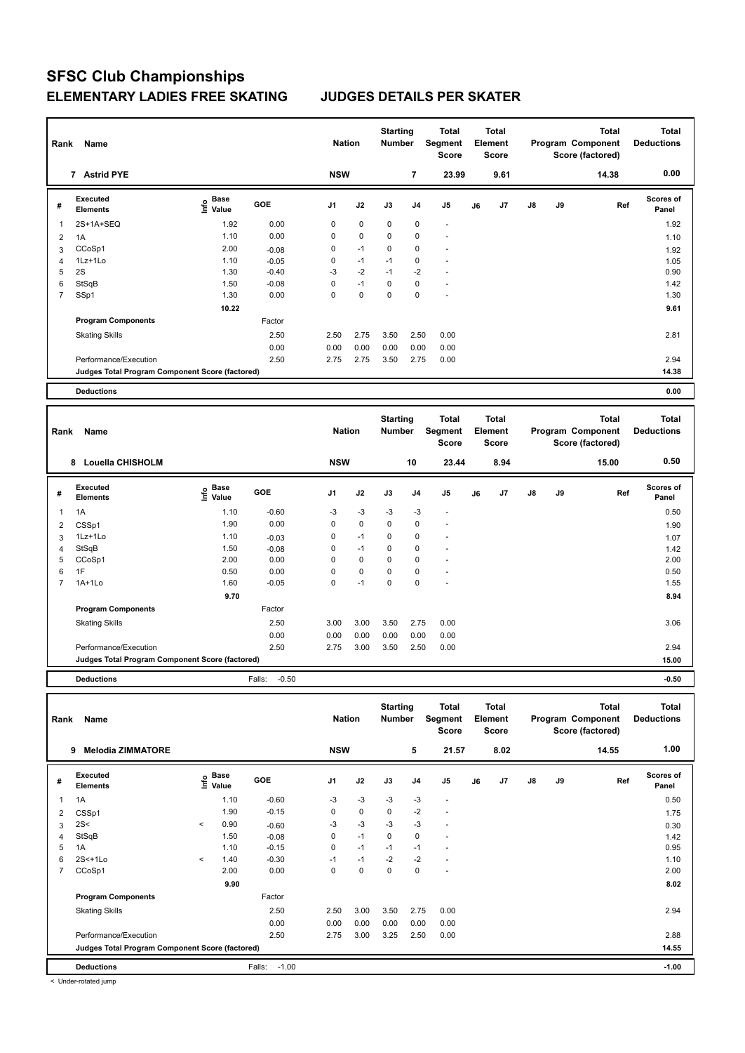|   | Rank<br>Name                                    |                                  |            |            |             | <b>Starting</b><br><b>Number</b> |                | Total<br>Segment<br><b>Score</b> | <b>Total</b><br>Element<br><b>Score</b> |      |               |    | <b>Total</b><br>Program Component<br>Score (factored) | <b>Total</b><br><b>Deductions</b> |
|---|-------------------------------------------------|----------------------------------|------------|------------|-------------|----------------------------------|----------------|----------------------------------|-----------------------------------------|------|---------------|----|-------------------------------------------------------|-----------------------------------|
|   | 7 Astrid PYE                                    |                                  |            | <b>NSW</b> |             |                                  | $\overline{7}$ | 23.99                            |                                         | 9.61 |               |    | 14.38                                                 | 0.00                              |
| # | Executed<br><b>Elements</b>                     | <b>Base</b><br>e Base<br>⊆ Value | <b>GOE</b> | J1         | J2          | J3                               | J <sub>4</sub> | J <sub>5</sub>                   | J6                                      | J7   | $\mathsf{J}8$ | J9 | Ref                                                   | <b>Scores of</b><br>Panel         |
| 1 | 2S+1A+SEQ                                       | 1.92                             | 0.00       | 0          | $\mathbf 0$ | $\mathbf 0$                      | 0              | $\blacksquare$                   |                                         |      |               |    |                                                       | 1.92                              |
| 2 | 1A                                              | 1.10                             | 0.00       | 0          | $\mathbf 0$ | 0                                | 0              | ٠                                |                                         |      |               |    |                                                       | 1.10                              |
| 3 | CCoSp1                                          | 2.00                             | $-0.08$    | 0          | $-1$        | $\mathbf 0$                      | $\mathbf 0$    | $\overline{\phantom{a}}$         |                                         |      |               |    |                                                       | 1.92                              |
| 4 | 1Lz+1Lo                                         | 1.10                             | $-0.05$    | 0          | $-1$        | $-1$                             | $\mathbf 0$    | $\overline{\phantom{a}}$         |                                         |      |               |    |                                                       | 1.05                              |
| 5 | 2S                                              | 1.30                             | $-0.40$    | $-3$       | $-2$        | $-1$                             | $-2$           | ٠                                |                                         |      |               |    |                                                       | 0.90                              |
| 6 | StSqB                                           | 1.50                             | $-0.08$    | 0          | $-1$        | $\Omega$                         | 0              | $\overline{\phantom{a}}$         |                                         |      |               |    |                                                       | 1.42                              |
| 7 | SSp1                                            | 1.30                             | 0.00       | 0          | 0           | 0                                | $\mathbf 0$    | $\overline{\phantom{a}}$         |                                         |      |               |    |                                                       | 1.30                              |
|   |                                                 | 10.22                            |            |            |             |                                  |                |                                  |                                         |      |               |    |                                                       | 9.61                              |
|   | <b>Program Components</b>                       |                                  | Factor     |            |             |                                  |                |                                  |                                         |      |               |    |                                                       |                                   |
|   | <b>Skating Skills</b>                           |                                  | 2.50       | 2.50       | 2.75        | 3.50                             | 2.50           | 0.00                             |                                         |      |               |    |                                                       | 2.81                              |
|   |                                                 |                                  | 0.00       | 0.00       | 0.00        | 0.00                             | 0.00           | 0.00                             |                                         |      |               |    |                                                       |                                   |
|   | Performance/Execution                           |                                  | 2.50       | 2.75       | 2.75        | 3.50                             | 2.75           | 0.00                             |                                         |      |               |    |                                                       | 2.94                              |
|   | Judges Total Program Component Score (factored) |                                  |            |            |             |                                  |                |                                  |                                         |      |               |    |                                                       | 14.38                             |
|   | <b>Deductions</b>                               |                                  |            |            |             |                                  |                |                                  |                                         |      |               |    |                                                       | 0.00                              |

**Total Deductions Total Program Component Score (factored) Total Element Score Total Segment Score Starting Rank Name Nation Number # Executed Elements Base Value GOE J1 J2 J3 J4 J5 J6 J7 J8 J9 Scores of Panel** 1 1.10 -0.60 -3 -3 -3 -3 - **Ref**  1A 0.50 **Info 8 Louella CHISHOLM NSW 10 23.44 8.94 15.00 0.50** 2 CSSp1 1.90 0.00 0 0 0 0 - 1.90 3 1Lz+1Lo 1.10 -0.03 0 -1 0 0 - 1.07 4 StSqB 1.50 -0.08 0 -1 0 0 - 1.42 5 CCoSp1 2.00 0.00 0 0 0 0 - 2.00 6 1F 0.50 0.00 0 0 0 0 - 0.50 7 1A+1Lo 1.60 -0.05 0 -1 0 0 - 1.55  **9.70 8.94 Program Components**  Skating Skills 3.00 3.00 3.00 3.50 2.75 0.00 Factor 2.50 3.00 3.00 3.50 2.75 0.00 3.00 3.06 3.06 0.00 0.00 0.00 0.00 0.00 0.00 Performance/Execution 2.50 2.75 3.00 3.50 2.50 0.00 2.94 **Deductions** Falls: -0.50 **-0.50 Judges Total Program Component Score (factored) 15.00**

**Total Deductions Total Program Component Score (factored) Total Element Score Total Segment Score Starting Rank Name Nation Number # Executed Elements Base Value GOE J1 J2 J3 J4 J5 J6 J7 J8 J9 Scores of Panel** 1 1.10 -0.60 -3 -3 -3 -3 - **Ref**  سماء بال بين المسابق المسابق المسابق المسابق المسابق المسابق المسابق المسابق المسابق المسابق المسابق المسابق ا<br>1A 1.10 -0.60 -3 -3 -3 -3 - 3 - 1.10 -0.50  **9 Melodia ZIMMATORE NSW 5 21.57 8.02 14.55 1.00** 2 CSSp1 1.90 -0.15 0 0 0 -2 - 1.75  $3 \quad 2$ S<  $\qquad \qquad$   $\qquad \qquad$   $\qquad \qquad$   $\qquad \qquad$   $\qquad \qquad$   $\qquad \qquad$   $\qquad \qquad$   $\qquad \qquad$   $\qquad \qquad$   $\qquad \qquad$   $\qquad \qquad$   $\qquad \qquad$   $\qquad \qquad$   $\qquad \qquad$   $\qquad \qquad$   $\qquad \qquad$   $\qquad \qquad$   $\qquad \qquad$   $\qquad \qquad$   $\qquad \qquad$   $\qquad \qquad$   $\qquad \qquad$   $\qquad \qquad$   $\qquad$ 4 StSqB 1.50 -0.08 0 -1 0 0 - 1.42 5 1A 1.10 -0.15 0 -1 -1 -1 - 0.95 6 2S<+1Lo < 1.40 -0.30 -1 -1 -2 -2 - 1.10 7 CCoSp1 2.00 0.00 0 0 0 0 - 2.00  **9.90 8.02 Program Components**  Skating Skills **2.50** 2.50 2.50 3.00 3.50 2.75 0.00 Factor 2.50 2.50 3.00 3.50 2.75 0.00 2.94 0.00 0.00 0.00 0.00 0.00 0.00 Performance/Execution 2.50 2.75 3.00 3.25 2.50 0.00 2.88 **Deductions** Falls: -1.00 **-1.00 Judges Total Program Component Score (factored) 14.55**

< Under-rotated jump